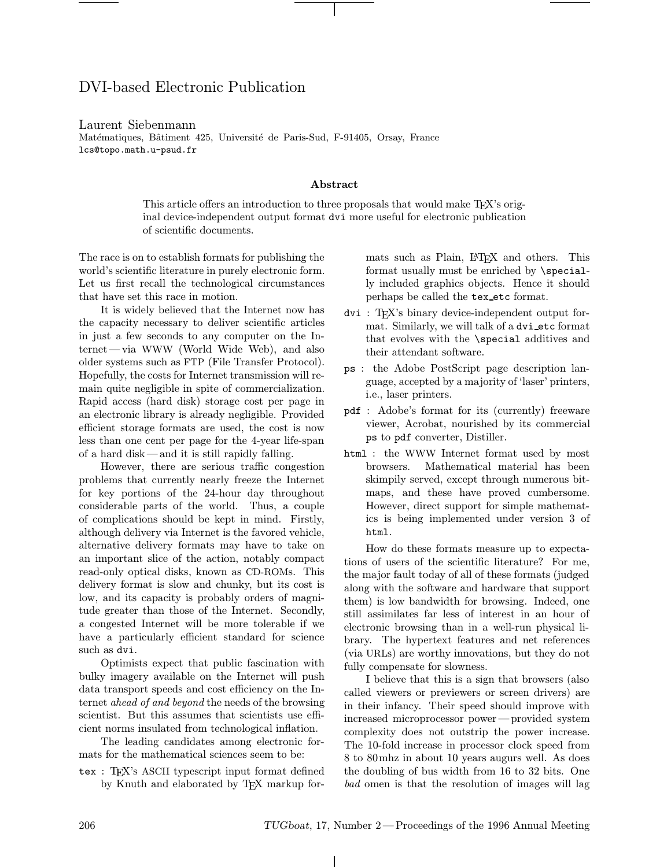# DVI-based Electronic Publication

#### Laurent Siebenmann

Matématiques, Bâtiment 425, Université de Paris-Sud, F-91405, Orsay, France lcs@topo.math.u-psud.fr

#### Abstract

This article offers an introduction to three proposals that would make TEX's original device-independent output format dvi more useful for electronic publication of scientific documents.

The race is on to establish formats for publishing the world's scientific literature in purely electronic form. Let us first recall the technological circumstances that have set this race in motion.

It is widely believed that the Internet now has the capacity necessary to deliver scientific articles in just a few seconds to any computer on the Internet—via WWW (World Wide Web), and also older systems such as FTP (File Transfer Protocol). Hopefully, the costs for Internet transmission will remain quite negligible in spite of commercialization. Rapid access (hard disk) storage cost per page in an electronic library is already negligible. Provided efficient storage formats are used, the cost is now less than one cent per page for the 4-year life-span of a hard disk—and it is still rapidly falling.

However, there are serious traffic congestion problems that currently nearly freeze the Internet for key portions of the 24-hour day throughout considerable parts of the world. Thus, a couple of complications should be kept in mind. Firstly, although delivery via Internet is the favored vehicle, alternative delivery formats may have to take on an important slice of the action, notably compact read-only optical disks, known as CD-ROMs. This delivery format is slow and chunky, but its cost is low, and its capacity is probably orders of magnitude greater than those of the Internet. Secondly, a congested Internet will be more tolerable if we have a particularly efficient standard for science such as dvi.

Optimists expect that public fascination with bulky imagery available on the Internet will push data transport speeds and cost efficiency on the Internet ahead of and beyond the needs of the browsing scientist. But this assumes that scientists use efficient norms insulated from technological inflation.

The leading candidates among electronic formats for the mathematical sciences seem to be:

tex : TEX's ASCII typescript input format defined by Knuth and elaborated by T<sub>F</sub>X markup formats such as Plain, L<sup>AT</sup>EX and others. This format usually must be enriched by \specially included graphics objects. Hence it should perhaps be called the tex etc format.

- dvi : TEX's binary device-independent output format. Similarly, we will talk of a dvi etc format that evolves with the \special additives and their attendant software.
- ps : the Adobe PostScript page description language, accepted by a majority of 'laser' printers, i.e., laser printers.
- pdf : Adobe's format for its (currently) freeware viewer, Acrobat, nourished by its commercial ps to pdf converter, Distiller.
- html : the WWW Internet format used by most browsers. Mathematical material has been skimpily served, except through numerous bitmaps, and these have proved cumbersome. However, direct support for simple mathematics is being implemented under version 3 of html.

How do these formats measure up to expectations of users of the scientific literature? For me, the major fault today of all of these formats (judged along with the software and hardware that support them) is low bandwidth for browsing. Indeed, one still assimilates far less of interest in an hour of electronic browsing than in a well-run physical library. The hypertext features and net references (via URLs) are worthy innovations, but they do not fully compensate for slowness.

I believe that this is a sign that browsers (also called viewers or previewers or screen drivers) are in their infancy. Their speed should improve with increased microprocessor power—provided system complexity does not outstrip the power increase. The 10-fold increase in processor clock speed from 8 to 80mhz in about 10 years augurs well. As does the doubling of bus width from 16 to 32 bits. One bad omen is that the resolution of images will lag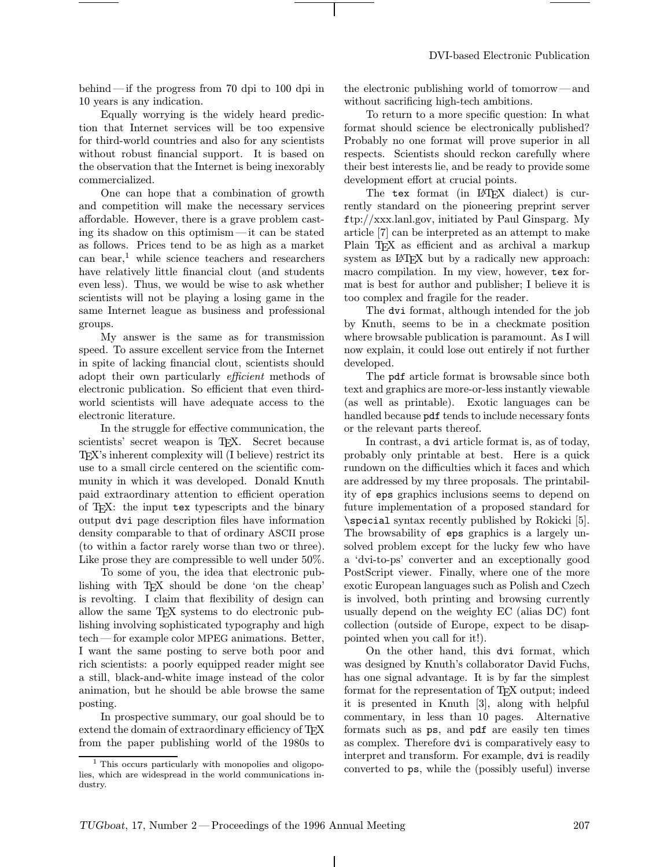behind —if the progress from 70 dpi to 100 dpi in 10 years is any indication.

Equally worrying is the widely heard prediction that Internet services will be too expensive for third-world countries and also for any scientists without robust financial support. It is based on the observation that the Internet is being inexorably commercialized.

One can hope that a combination of growth and competition will make the necessary services affordable. However, there is a grave problem casting its shadow on this optimism—it can be stated as follows. Prices tend to be as high as a market can bear, $\frac{1}{1}$  while science teachers and researchers have relatively little financial clout (and students even less). Thus, we would be wise to ask whether scientists will not be playing a losing game in the same Internet league as business and professional groups.

My answer is the same as for transmission speed. To assure excellent service from the Internet in spite of lacking financial clout, scientists should adopt their own particularly efficient methods of electronic publication. So efficient that even thirdworld scientists will have adequate access to the electronic literature.

In the struggle for effective communication, the scientists' secret weapon is T<sub>EX</sub>. Secret because TEX's inherent complexity will (I believe) restrict its use to a small circle centered on the scientific community in which it was developed. Donald Knuth paid extraordinary attention to efficient operation of TEX: the input tex typescripts and the binary output dvi page description files have information density comparable to that of ordinary ASCII prose (to within a factor rarely worse than two or three). Like prose they are compressible to well under 50%.

To some of you, the idea that electronic publishing with T<sub>EX</sub> should be done 'on the cheap' is revolting. I claim that flexibility of design can allow the same TEX systems to do electronic publishing involving sophisticated typography and high tech—for example color MPEG animations. Better, I want the same posting to serve both poor and rich scientists: a poorly equipped reader might see a still, black-and-white image instead of the color animation, but he should be able browse the same posting.

In prospective summary, our goal should be to extend the domain of extraordinary efficiency of T<sub>EX</sub> from the paper publishing world of the 1980s to the electronic publishing world of tomorrow—and without sacrificing high-tech ambitions.

To return to a more specific question: In what format should science be electronically published? Probably no one format will prove superior in all respects. Scientists should reckon carefully where their best interests lie, and be ready to provide some development effort at crucial points.

The tex format (in LAT<sub>EX</sub> dialect) is currently standard on the pioneering preprint server ftp://xxx.lanl.gov, initiated by Paul Ginsparg. My article [7] can be interpreted as an attempt to make Plain T<sub>EX</sub> as efficient and as archival a markup system as LAT<sub>F</sub>X but by a radically new approach: macro compilation. In my view, however, tex format is best for author and publisher; I believe it is too complex and fragile for the reader.

The dvi format, although intended for the job by Knuth, seems to be in a checkmate position where browsable publication is paramount. As I will now explain, it could lose out entirely if not further developed.

The pdf article format is browsable since both text and graphics are more-or-less instantly viewable (as well as printable). Exotic languages can be handled because pdf tends to include necessary fonts or the relevant parts thereof.

In contrast, a dvi article format is, as of today, probably only printable at best. Here is a quick rundown on the difficulties which it faces and which are addressed by my three proposals. The printability of eps graphics inclusions seems to depend on future implementation of a proposed standard for \special syntax recently published by Rokicki [5]. The browsability of eps graphics is a largely unsolved problem except for the lucky few who have a 'dvi-to-ps' converter and an exceptionally good PostScript viewer. Finally, where one of the more exotic European languages such as Polish and Czech is involved, both printing and browsing currently usually depend on the weighty EC (alias DC) font collection (outside of Europe, expect to be disappointed when you call for it!).

On the other hand, this dvi format, which was designed by Knuth's collaborator David Fuchs, has one signal advantage. It is by far the simplest format for the representation of T<sub>EX</sub> output; indeed it is presented in Knuth [3], along with helpful commentary, in less than 10 pages. Alternative formats such as ps, and pdf are easily ten times as complex. Therefore dvi is comparatively easy to interpret and transform. For example, dvi is readily converted to ps, while the (possibly useful) inverse

<sup>&</sup>lt;sup>1</sup> This occurs particularly with monopolies and oligopolies, which are widespread in the world communications industry.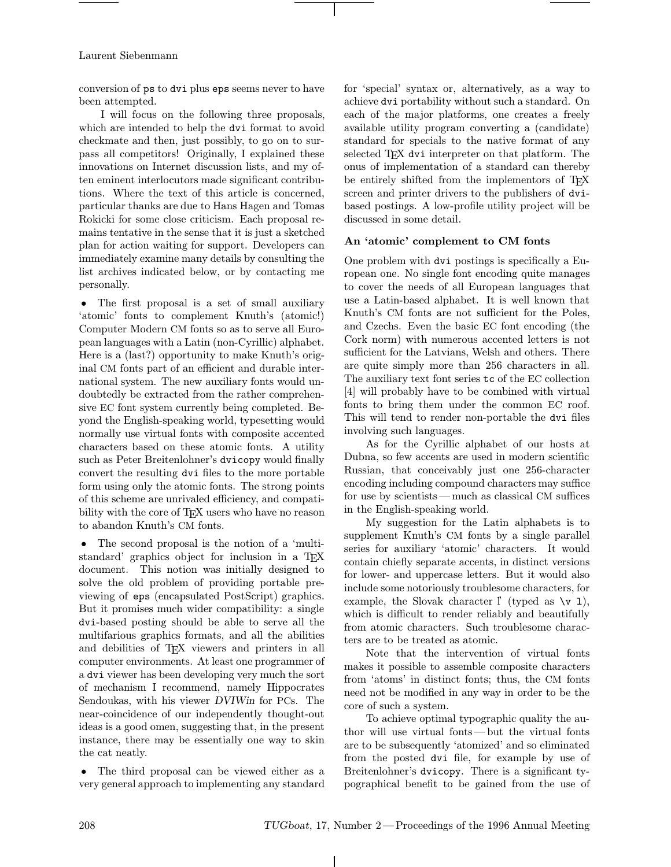conversion of ps to dvi plus eps seems never to have been attempted.

I will focus on the following three proposals, which are intended to help the dvi format to avoid checkmate and then, just possibly, to go on to surpass all competitors! Originally, I explained these innovations on Internet discussion lists, and my often eminent interlocutors made significant contributions. Where the text of this article is concerned, particular thanks are due to Hans Hagen and Tomas Rokicki for some close criticism. Each proposal remains tentative in the sense that it is just a sketched plan for action waiting for support. Developers can immediately examine many details by consulting the list archives indicated below, or by contacting me personally.

• The first proposal is a set of small auxiliary 'atomic' fonts to complement Knuth's (atomic!) Computer Modern CM fonts so as to serve all European languages with a Latin (non-Cyrillic) alphabet. Here is a (last?) opportunity to make Knuth's original CM fonts part of an efficient and durable international system. The new auxiliary fonts would undoubtedly be extracted from the rather comprehensive EC font system currently being completed. Beyond the English-speaking world, typesetting would normally use virtual fonts with composite accented characters based on these atomic fonts. A utility such as Peter Breitenlohner's dvicopy would finally convert the resulting dvi files to the more portable form using only the atomic fonts. The strong points of this scheme are unrivaled efficiency, and compatibility with the core of T<sub>E</sub>X users who have no reason to abandon Knuth's CM fonts.

• The second proposal is the notion of a 'multistandard' graphics object for inclusion in a TEX document. This notion was initially designed to solve the old problem of providing portable previewing of eps (encapsulated PostScript) graphics. But it promises much wider compatibility: a single dvi-based posting should be able to serve all the multifarious graphics formats, and all the abilities and debilities of TEX viewers and printers in all computer environments. At least one programmer of a dvi viewer has been developing very much the sort of mechanism I recommend, namely Hippocrates Sendoukas, with his viewer DVIWin for PCs. The near-coincidence of our independently thought-out ideas is a good omen, suggesting that, in the present instance, there may be essentially one way to skin the cat neatly.

• The third proposal can be viewed either as a very general approach to implementing any standard for 'special' syntax or, alternatively, as a way to achieve dvi portability without such a standard. On each of the major platforms, one creates a freely available utility program converting a (candidate) standard for specials to the native format of any selected TEX dvi interpreter on that platform. The onus of implementation of a standard can thereby be entirely shifted from the implementors of TEX screen and printer drivers to the publishers of dvibased postings. A low-profile utility project will be discussed in some detail.

# An 'atomic' complement to CM fonts

One problem with dvi postings is specifically a European one. No single font encoding quite manages to cover the needs of all European languages that use a Latin-based alphabet. It is well known that Knuth's CM fonts are not sufficient for the Poles, and Czechs. Even the basic EC font encoding (the Cork norm) with numerous accented letters is not sufficient for the Latvians, Welsh and others. There are quite simply more than 256 characters in all. The auxiliary text font series tc of the EC collection [4] will probably have to be combined with virtual fonts to bring them under the common EC roof. This will tend to render non-portable the dvi files involving such languages.

As for the Cyrillic alphabet of our hosts at Dubna, so few accents are used in modern scientific Russian, that conceivably just one 256-character encoding including compound characters may suffice for use by scientists—much as classical CM suffices in the English-speaking world.

My suggestion for the Latin alphabets is to supplement Knuth's CM fonts by a single parallel series for auxiliary 'atomic' characters. It would contain chiefly separate accents, in distinct versions for lower- and uppercase letters. But it would also include some notoriously troublesome characters, for example, the Slovak character  $\int$  (typed as  $\forall v \neq 1$ ), which is difficult to render reliably and beautifully from atomic characters. Such troublesome characters are to be treated as atomic.

Note that the intervention of virtual fonts makes it possible to assemble composite characters from 'atoms' in distinct fonts; thus, the CM fonts need not be modified in any way in order to be the core of such a system.

To achieve optimal typographic quality the author will use virtual fonts —but the virtual fonts are to be subsequently 'atomized' and so eliminated from the posted dvi file, for example by use of Breitenlohner's dvicopy. There is a significant typographical benefit to be gained from the use of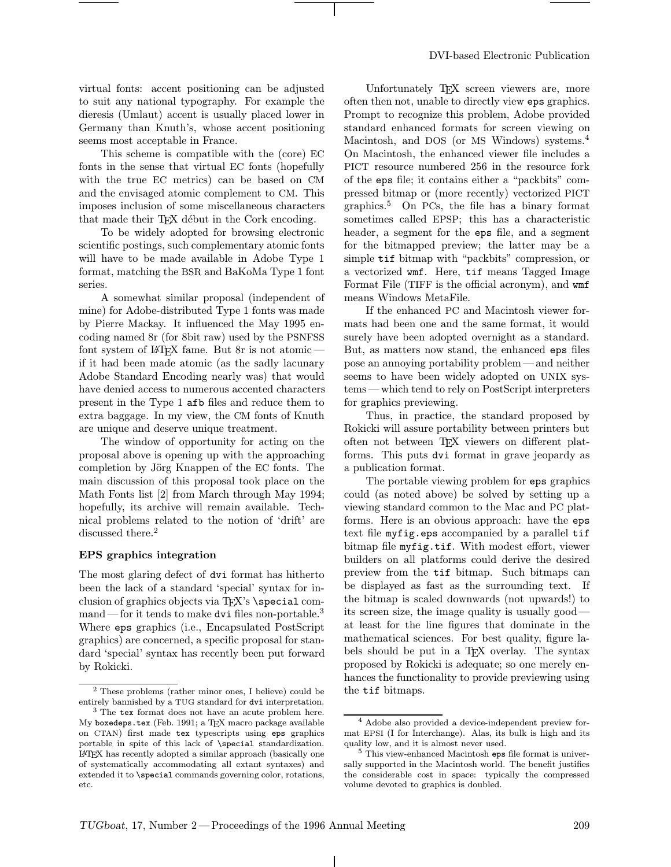virtual fonts: accent positioning can be adjusted to suit any national typography. For example the dieresis (Umlaut) accent is usually placed lower in Germany than Knuth's, whose accent positioning seems most acceptable in France.

This scheme is compatible with the (core) EC fonts in the sense that virtual EC fonts (hopefully with the true EC metrics) can be based on CM and the envisaged atomic complement to CM. This imposes inclusion of some miscellaneous characters that made their T<sub>F</sub>X début in the Cork encoding.

To be widely adopted for browsing electronic scientific postings, such complementary atomic fonts will have to be made available in Adobe Type 1 format, matching the BSR and BaKoMa Type 1 font series.

A somewhat similar proposal (independent of mine) for Adobe-distributed Type 1 fonts was made by Pierre Mackay. It influenced the May 1995 encoding named 8r (for 8bit raw) used by the PSNFSS font system of LAT<sub>F</sub>X fame. But  $8r$  is not atomic if it had been made atomic (as the sadly lacunary Adobe Standard Encoding nearly was) that would have denied access to numerous accented characters present in the Type 1 afb files and reduce them to extra baggage. In my view, the CM fonts of Knuth are unique and deserve unique treatment.

The window of opportunity for acting on the proposal above is opening up with the approaching completion by Jörg Knappen of the EC fonts. The main discussion of this proposal took place on the Math Fonts list [2] from March through May 1994; hopefully, its archive will remain available. Technical problems related to the notion of 'drift' are discussed there.<sup>2</sup>

#### EPS graphics integration

The most glaring defect of dvi format has hitherto been the lack of a standard 'special' syntax for inclusion of graphics objects via TFX's \special command—for it tends to make dvi files non-portable.<sup>3</sup> Where eps graphics (i.e., Encapsulated PostScript graphics) are concerned, a specific proposal for standard 'special' syntax has recently been put forward by Rokicki.

Unfortunately T<sub>EX</sub> screen viewers are, more often then not, unable to directly view eps graphics. Prompt to recognize this problem, Adobe provided standard enhanced formats for screen viewing on Macintosh, and DOS (or MS Windows) systems.<sup>4</sup> On Macintosh, the enhanced viewer file includes a PICT resource numbered 256 in the resource fork of the eps file; it contains either a "packbits" compressed bitmap or (more recently) vectorized PICT graphics.<sup>5</sup> On PCs, the file has a binary format sometimes called EPSP; this has a characteristic header, a segment for the eps file, and a segment for the bitmapped preview; the latter may be a simple tif bitmap with "packbits" compression, or a vectorized wmf. Here, tif means Tagged Image Format File (TIFF is the official acronym), and wmf means Windows MetaFile.

If the enhanced PC and Macintosh viewer formats had been one and the same format, it would surely have been adopted overnight as a standard. But, as matters now stand, the enhanced eps files pose an annoying portability problem—and neither seems to have been widely adopted on UNIX systems —which tend to rely on PostScript interpreters for graphics previewing.

Thus, in practice, the standard proposed by Rokicki will assure portability between printers but often not between TEX viewers on different platforms. This puts dvi format in grave jeopardy as a publication format.

The portable viewing problem for eps graphics could (as noted above) be solved by setting up a viewing standard common to the Mac and PC platforms. Here is an obvious approach: have the eps text file myfig.eps accompanied by a parallel tif bitmap file myfig.tif. With modest effort, viewer builders on all platforms could derive the desired preview from the tif bitmap. Such bitmaps can be displayed as fast as the surrounding text. If the bitmap is scaled downwards (not upwards!) to its screen size, the image quality is usually good at least for the line figures that dominate in the mathematical sciences. For best quality, figure labels should be put in a TEX overlay. The syntax proposed by Rokicki is adequate; so one merely enhances the functionality to provide previewing using the tif bitmaps.

<sup>2</sup> These problems (rather minor ones, I believe) could be

entirely bannished by a TUG standard for  ${\tt dvi}$  interpretation.  $^3$  The  ${\tt text}$  format does not have an acute problem here. My boxedeps.tex (Feb. 1991; a TEX macro package available on CTAN) first made tex typescripts using eps graphics portable in spite of this lack of \special standardization. LATEX has recently adopted a similar approach (basically one of systematically accommodating all extant syntaxes) and extended it to \special commands governing color, rotations, etc.

<sup>4</sup> Adobe also provided a device-independent preview format EPSI (I for Interchange). Alas, its bulk is high and its quality low, and it is almost never used.

<sup>5</sup> This view-enhanced Macintosh eps file format is universally supported in the Macintosh world. The benefit justifies the considerable cost in space: typically the compressed volume devoted to graphics is doubled.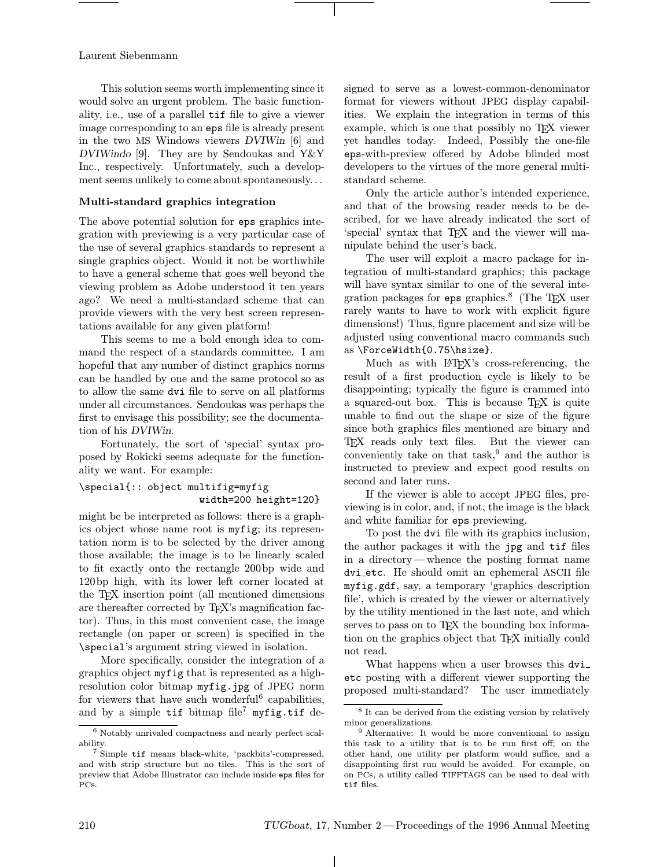This solution seems worth implementing since it would solve an urgent problem. The basic functionality, i.e., use of a parallel tif file to give a viewer image corresponding to an eps file is already present in the two MS Windows viewers DVIWin [6] and DVIWindo [9]. They are by Sendoukas and Y&Y Inc., respectively. Unfortunately, such a development seems unlikely to come about spontaneously...

# Multi-standard graphics integration

The above potential solution for eps graphics integration with previewing is a very particular case of the use of several graphics standards to represent a single graphics object. Would it not be worthwhile to have a general scheme that goes well beyond the viewing problem as Adobe understood it ten years ago? We need a multi-standard scheme that can provide viewers with the very best screen representations available for any given platform!

This seems to me a bold enough idea to command the respect of a standards committee. I am hopeful that any number of distinct graphics norms can be handled by one and the same protocol so as to allow the same dvi file to serve on all platforms under all circumstances. Sendoukas was perhaps the first to envisage this possibility; see the documentation of his DVIWin.

Fortunately, the sort of 'special' syntax proposed by Rokicki seems adequate for the functionality we want. For example:

# \special{:: object multifig=myfig width=200 height=120}

might be be interpreted as follows: there is a graphics object whose name root is myfig; its representation norm is to be selected by the driver among those available; the image is to be linearly scaled to fit exactly onto the rectangle 200bp wide and 120bp high, with its lower left corner located at the TEX insertion point (all mentioned dimensions are thereafter corrected by TEX's magnification factor). Thus, in this most convenient case, the image rectangle (on paper or screen) is specified in the \special's argument string viewed in isolation.

More specifically, consider the integration of a graphics object myfig that is represented as a highresolution color bitmap myfig.jpg of JPEG norm for viewers that have such wonderful<sup>6</sup> capabilities, and by a simple tif bitmap file<sup>7</sup> myfig.tif designed to serve as a lowest-common-denominator format for viewers without JPEG display capabilities. We explain the integration in terms of this example, which is one that possibly no TEX viewer yet handles today. Indeed, Possibly the one-file eps-with-preview offered by Adobe blinded most developers to the virtues of the more general multistandard scheme.

Only the article author's intended experience, and that of the browsing reader needs to be described, for we have already indicated the sort of 'special' syntax that TFX and the viewer will manipulate behind the user's back.

The user will exploit a macro package for integration of multi-standard graphics; this package will have syntax similar to one of the several integration packages for eps graphics.<sup>8</sup> (The T<sub>EX</sub> user rarely wants to have to work with explicit figure dimensions!) Thus, figure placement and size will be adjusted using conventional macro commands such as \ForceWidth{0.75\hsize}.

Much as with LAT<sub>F</sub>X's cross-referencing, the result of a first production cycle is likely to be disappointing; typically the figure is crammed into a squared-out box. This is because TEX is quite unable to find out the shape or size of the figure since both graphics files mentioned are binary and TEX reads only text files. But the viewer can conveniently take on that task,  $9$  and the author is instructed to preview and expect good results on second and later runs.

If the viewer is able to accept JPEG files, previewing is in color, and, if not, the image is the black and white familiar for eps previewing.

To post the dvi file with its graphics inclusion, the author packages it with the jpg and tif files in a directory—whence the posting format name dvi etc. He should omit an ephemeral ASCII file myfig.gdf, say, a temporary 'graphics description file', which is created by the viewer or alternatively by the utility mentioned in the last note, and which serves to pass on to TEX the bounding box information on the graphics object that TEX initially could not read.

What happens when a user browses this dvi etc posting with a different viewer supporting the proposed multi-standard? The user immediately

 $\frac{6}{6}$  Notably unrivaled compactness and nearly perfect scalability.

<sup>7</sup> Simple tif means black-white, 'packbits'-compressed, and with strip structure but no tiles. This is the sort of preview that Adobe Illustrator can include inside eps files for PCs.

<sup>8</sup> It can be derived from the existing version by relatively minor generalizations.

<sup>9</sup> Alternative: It would be more conventional to assign this task to a utility that is to be run first off; on the other hand, one utility per platform would suffice, and a disappointing first run would be avoided. For example, on on PCs, a utility called TIFFTAGS can be used to deal with tif files.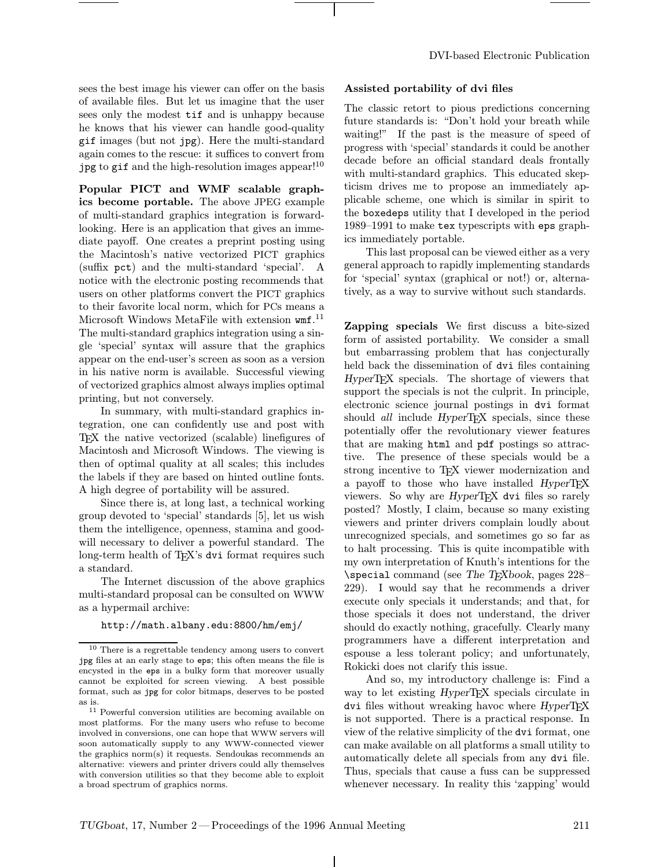sees the best image his viewer can offer on the basis of available files. But let us imagine that the user sees only the modest tif and is unhappy because he knows that his viewer can handle good-quality gif images (but not jpg). Here the multi-standard again comes to the rescue: it suffices to convert from jpg to gif and the high-resolution images appear!<sup>10</sup>

Popular PICT and WMF scalable graphics become portable. The above JPEG example of multi-standard graphics integration is forwardlooking. Here is an application that gives an immediate payoff. One creates a preprint posting using the Macintosh's native vectorized PICT graphics (suffix pct) and the multi-standard 'special'. A notice with the electronic posting recommends that users on other platforms convert the PICT graphics to their favorite local norm, which for PCs means a Microsoft Windows MetaFile with extension wmf. 11 The multi-standard graphics integration using a single 'special' syntax will assure that the graphics appear on the end-user's screen as soon as a version in his native norm is available. Successful viewing of vectorized graphics almost always implies optimal printing, but not conversely.

In summary, with multi-standard graphics integration, one can confidently use and post with TEX the native vectorized (scalable) linefigures of Macintosh and Microsoft Windows. The viewing is then of optimal quality at all scales; this includes the labels if they are based on hinted outline fonts. A high degree of portability will be assured.

Since there is, at long last, a technical working group devoted to 'special' standards [5], let us wish them the intelligence, openness, stamina and goodwill necessary to deliver a powerful standard. The long-term health of TEX's dvi format requires such a standard.

The Internet discussion of the above graphics multi-standard proposal can be consulted on WWW as a hypermail archive:

#### http://math.albany.edu:8800/hm/emj/

# Assisted portability of dvi files

The classic retort to pious predictions concerning future standards is: "Don't hold your breath while waiting!" If the past is the measure of speed of progress with 'special' standards it could be another decade before an official standard deals frontally with multi-standard graphics. This educated skepticism drives me to propose an immediately applicable scheme, one which is similar in spirit to the boxedeps utility that I developed in the period 1989–1991 to make tex typescripts with eps graphics immediately portable.

This last proposal can be viewed either as a very general approach to rapidly implementing standards for 'special' syntax (graphical or not!) or, alternatively, as a way to survive without such standards.

Zapping specials We first discuss a bite-sized form of assisted portability. We consider a small but embarrassing problem that has conjecturally held back the dissemination of dvi files containing HyperTEX specials. The shortage of viewers that support the specials is not the culprit. In principle, electronic science journal postings in dvi format should *all* include HyperT<sub>E</sub>X specials, since these potentially offer the revolutionary viewer features that are making html and pdf postings so attractive. The presence of these specials would be a strong incentive to TEX viewer modernization and a payoff to those who have installed HyperTFX viewers. So why are *HyperTEX* dvi files so rarely posted? Mostly, I claim, because so many existing viewers and printer drivers complain loudly about unrecognized specials, and sometimes go so far as to halt processing. This is quite incompatible with my own interpretation of Knuth's intentions for the \special command (see The TEXbook, pages 228– 229). I would say that he recommends a driver execute only specials it understands; and that, for those specials it does not understand, the driver should do exactly nothing, gracefully. Clearly many programmers have a different interpretation and espouse a less tolerant policy; and unfortunately, Rokicki does not clarify this issue.

And so, my introductory challenge is: Find a way to let existing HyperT<sub>E</sub>X specials circulate in dvi files without wreaking havoc where HyperTEX is not supported. There is a practical response. In view of the relative simplicity of the dvi format, one can make available on all platforms a small utility to automatically delete all specials from any dvi file. Thus, specials that cause a fuss can be suppressed whenever necessary. In reality this 'zapping' would

<sup>10</sup> There is a regrettable tendency among users to convert jpg files at an early stage to eps; this often means the file is encysted in the eps in a bulky form that moreover usually cannot be exploited for screen viewing. A best possible format, such as jpg for color bitmaps, deserves to be posted as is.

 $^{\rm 11}$  Powerful conversion utilities are becoming available on most platforms. For the many users who refuse to become involved in conversions, one can hope that WWW servers will soon automatically supply to any WWW-connected viewer the graphics norm(s) it requests. Sendoukas recommends an alternative: viewers and printer drivers could ally themselves with conversion utilities so that they become able to exploit a broad spectrum of graphics norms.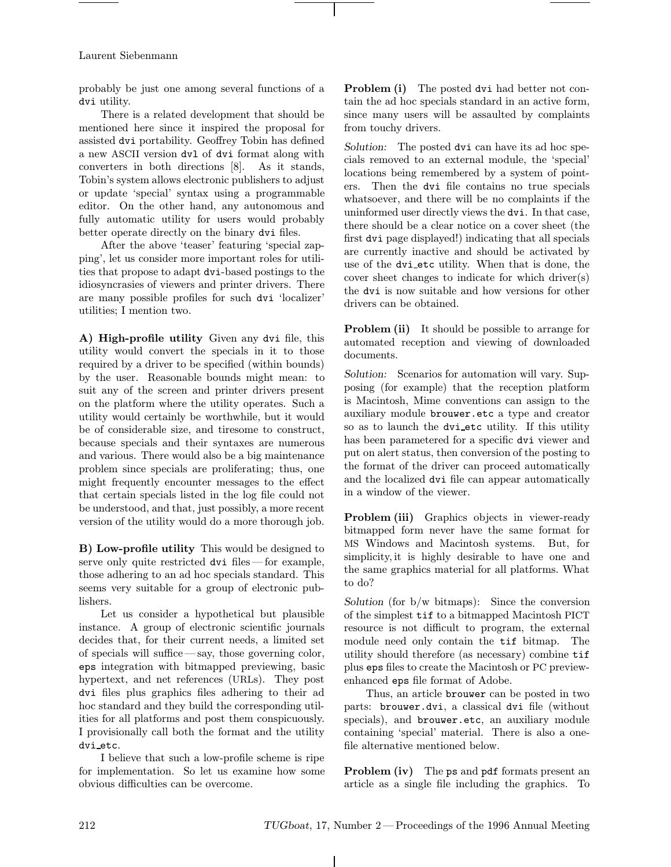probably be just one among several functions of a dvi utility.

There is a related development that should be mentioned here since it inspired the proposal for assisted dvi portability. Geoffrey Tobin has defined a new ASCII version dvl of dvi format along with converters in both directions [8]. As it stands, Tobin's system allows electronic publishers to adjust or update 'special' syntax using a programmable editor. On the other hand, any autonomous and fully automatic utility for users would probably better operate directly on the binary dvi files.

After the above 'teaser' featuring 'special zapping', let us consider more important roles for utilities that propose to adapt dvi-based postings to the idiosyncrasies of viewers and printer drivers. There are many possible profiles for such dvi 'localizer' utilities; I mention two.

A) High-profile utility Given any dvi file, this utility would convert the specials in it to those required by a driver to be specified (within bounds) by the user. Reasonable bounds might mean: to suit any of the screen and printer drivers present on the platform where the utility operates. Such a utility would certainly be worthwhile, but it would be of considerable size, and tiresome to construct, because specials and their syntaxes are numerous and various. There would also be a big maintenance problem since specials are proliferating; thus, one might frequently encounter messages to the effect that certain specials listed in the log file could not be understood, and that, just possibly, a more recent version of the utility would do a more thorough job.

B) Low-profile utility This would be designed to serve only quite restricted dvi files—for example, those adhering to an ad hoc specials standard. This seems very suitable for a group of electronic publishers.

Let us consider a hypothetical but plausible instance. A group of electronic scientific journals decides that, for their current needs, a limited set of specials will suffice—say, those governing color, eps integration with bitmapped previewing, basic hypertext, and net references (URLs). They post dvi files plus graphics files adhering to their ad hoc standard and they build the corresponding utilities for all platforms and post them conspicuously. I provisionally call both the format and the utility dvi etc.

I believe that such a low-profile scheme is ripe for implementation. So let us examine how some obvious difficulties can be overcome.

**Problem (i)** The posted dvi had better not contain the ad hoc specials standard in an active form, since many users will be assaulted by complaints from touchy drivers.

Solution: The posted dvi can have its ad hoc specials removed to an external module, the 'special' locations being remembered by a system of pointers. Then the dvi file contains no true specials whatsoever, and there will be no complaints if the uninformed user directly views the dvi. In that case, there should be a clear notice on a cover sheet (the first dvi page displayed!) indicating that all specials are currently inactive and should be activated by use of the dvi etc utility. When that is done, the cover sheet changes to indicate for which driver(s) the dvi is now suitable and how versions for other drivers can be obtained.

**Problem (ii)** It should be possible to arrange for automated reception and viewing of downloaded documents.

Solution: Scenarios for automation will vary. Supposing (for example) that the reception platform is Macintosh, Mime conventions can assign to the auxiliary module brouwer.etc a type and creator so as to launch the dvi etc utility. If this utility has been parametered for a specific dvi viewer and put on alert status, then conversion of the posting to the format of the driver can proceed automatically and the localized dvi file can appear automatically in a window of the viewer.

Problem (iii) Graphics objects in viewer-ready bitmapped form never have the same format for MS Windows and Macintosh systems. But, for simplicity,it is highly desirable to have one and the same graphics material for all platforms. What to do?

Solution (for  $b/w$  bitmaps): Since the conversion of the simplest tif to a bitmapped Macintosh PICT resource is not difficult to program, the external module need only contain the tif bitmap. The utility should therefore (as necessary) combine tif plus eps files to create the Macintosh or PC previewenhanced eps file format of Adobe.

Thus, an article brouwer can be posted in two parts: brouwer.dvi, a classical dvi file (without specials), and brouwer.etc, an auxiliary module containing 'special' material. There is also a onefile alternative mentioned below.

Problem (iv) The ps and pdf formats present an article as a single file including the graphics. To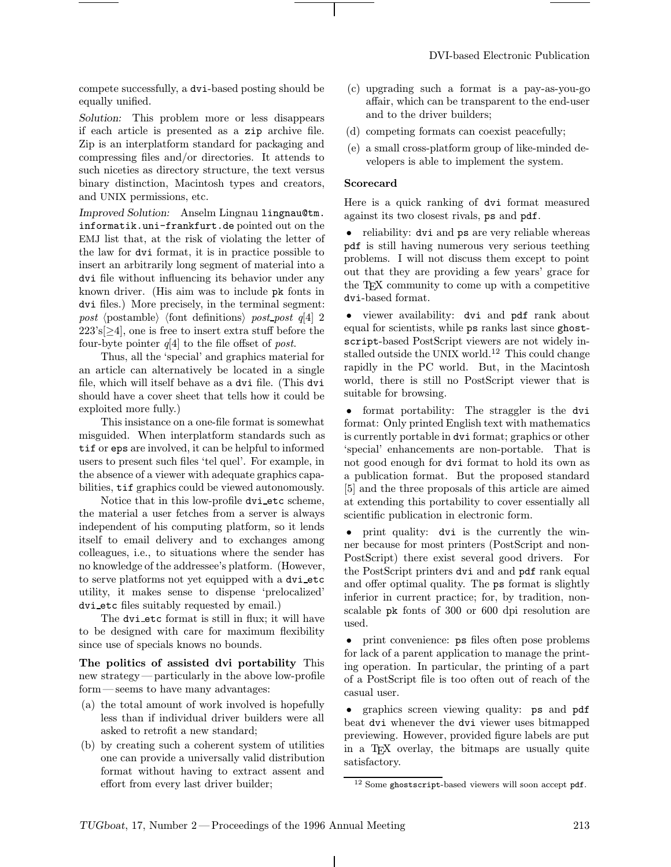compete successfully, a dvi-based posting should be equally unified.

Solution: This problem more or less disappears if each article is presented as a zip archive file. Zip is an interplatform standard for packaging and compressing files and/or directories. It attends to such niceties as directory structure, the text versus binary distinction, Macintosh types and creators, and UNIX permissions, etc.

Improved Solution: Anselm Lingnau lingnau@tm. informatik.uni-frankfurt.de pointed out on the EMJ list that, at the risk of violating the letter of the law for dvi format, it is in practice possible to insert an arbitrarily long segment of material into a dvi file without influencing its behavior under any known driver. (His aim was to include pk fonts in dvi files.) More precisely, in the terminal segment: post (postamble) (font definitions) post post  $q[4]$  2  $223's[\geq 4]$ , one is free to insert extra stuff before the four-byte pointer  $q[4]$  to the file offset of post.

Thus, all the 'special' and graphics material for an article can alternatively be located in a single file, which will itself behave as a dvi file. (This dvi should have a cover sheet that tells how it could be exploited more fully.)

This insistance on a one-file format is somewhat misguided. When interplatform standards such as tif or eps are involved, it can be helpful to informed users to present such files 'tel quel'. For example, in the absence of a viewer with adequate graphics capabilities, tif graphics could be viewed autonomously.

Notice that in this low-profile dvi etc scheme, the material a user fetches from a server is always independent of his computing platform, so it lends itself to email delivery and to exchanges among colleagues, i.e., to situations where the sender has no knowledge of the addressee's platform. (However, to serve platforms not yet equipped with a dvi etc utility, it makes sense to dispense 'prelocalized' dvi etc files suitably requested by email.)

The dvi etc format is still in flux; it will have to be designed with care for maximum flexibility since use of specials knows no bounds.

The politics of assisted dvi portability This new strategy—particularly in the above low-profile form—seems to have many advantages:

- (a) the total amount of work involved is hopefully less than if individual driver builders were all asked to retrofit a new standard;
- (b) by creating such a coherent system of utilities one can provide a universally valid distribution format without having to extract assent and effort from every last driver builder;
- (c) upgrading such a format is a pay-as-you-go affair, which can be transparent to the end-user and to the driver builders;
- (d) competing formats can coexist peacefully;
- (e) a small cross-platform group of like-minded developers is able to implement the system.

#### Scorecard

Here is a quick ranking of dvi format measured against its two closest rivals, ps and pdf.

• reliability: dvi and ps are very reliable whereas pdf is still having numerous very serious teething problems. I will not discuss them except to point out that they are providing a few years' grace for the TEX community to come up with a competitive dvi-based format.

• viewer availability: dvi and pdf rank about equal for scientists, while ps ranks last since ghostscript-based PostScript viewers are not widely installed outside the UNIX world.<sup>12</sup> This could change rapidly in the PC world. But, in the Macintosh world, there is still no PostScript viewer that is suitable for browsing.

• format portability: The straggler is the dvi format: Only printed English text with mathematics is currently portable in dvi format; graphics or other 'special' enhancements are non-portable. That is not good enough for dvi format to hold its own as a publication format. But the proposed standard [5] and the three proposals of this article are aimed at extending this portability to cover essentially all scientific publication in electronic form.

• print quality: dvi is the currently the winner because for most printers (PostScript and non-PostScript) there exist several good drivers. For the PostScript printers dvi and and pdf rank equal and offer optimal quality. The ps format is slightly inferior in current practice; for, by tradition, nonscalable pk fonts of 300 or 600 dpi resolution are used.

• print convenience:  $\mathsf{ps}$  files often pose problems for lack of a parent application to manage the printing operation. In particular, the printing of a part of a PostScript file is too often out of reach of the casual user.

• graphics screen viewing quality: ps and pdf beat dvi whenever the dvi viewer uses bitmapped previewing. However, provided figure labels are put in a T<sub>EX</sub> overlay, the bitmaps are usually quite satisfactory.

<sup>12</sup> Some ghostscript-based viewers will soon accept pdf.